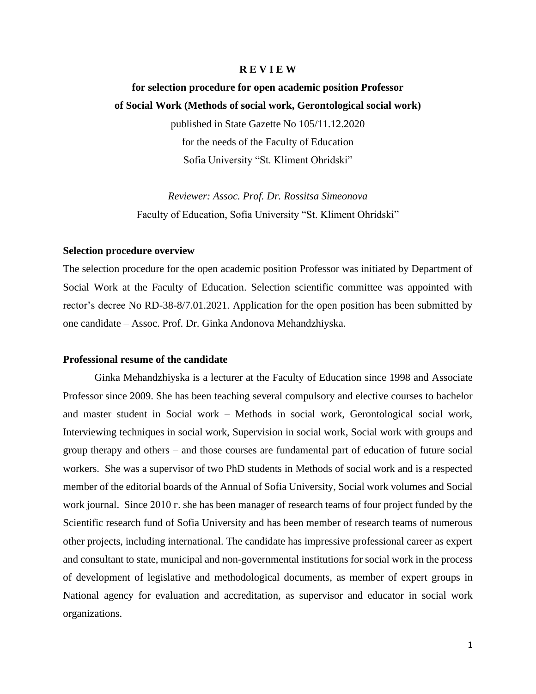#### **R E V I E W**

# **for selection procedure for open academic position Professor of Social Work (Methods of social work, Gerontological social work)** published in State Gazette No 105/11.12.2020 for the needs of the Faculty of Education Sofia University "St. Kliment Ohridski"

*Reviewer: Assoc. Prof. Dr. Rossitsa Simeonova* Faculty of Education, Sofia University "St. Kliment Ohridski"

#### **Selection procedure overview**

The selection procedure for the open academic position Professor was initiated by Department of Social Work at the Faculty of Education. Selection scientific committee was appointed with rector's decree No RD-38-8/7.01.2021. Application for the open position has been submitted by one candidate – Assoc. Prof. Dr. Ginka Andonova Mehandzhiyska.

#### **Professional resume of the candidate**

Ginka Mehandzhiyska is a lecturer at the Faculty of Education since 1998 and Associate Professor since 2009. She has been teaching several compulsory and elective courses to bachelor and master student in Social work – Methods in social work, Gerontological social work, Interviewing techniques in social work, Supervision in social work, Social work with groups and group therapy and others – and those courses are fundamental part of education of future social workers. She was a supervisor of two PhD students in Methods of social work and is a respected member of the editorial boards of the Annual of Sofia University, Social work volumes and Social work journal. Since 2010 г. she has been manager of research teams of four project funded by the Scientific research fund of Sofia University and has been member of research teams of numerous other projects, including international. The candidate has impressive professional career as expert and consultant to state, municipal and non-governmental institutions for social work in the process of development of legislative and methodological documents, as member of expert groups in National agency for evaluation and accreditation, as supervisor and educator in social work organizations.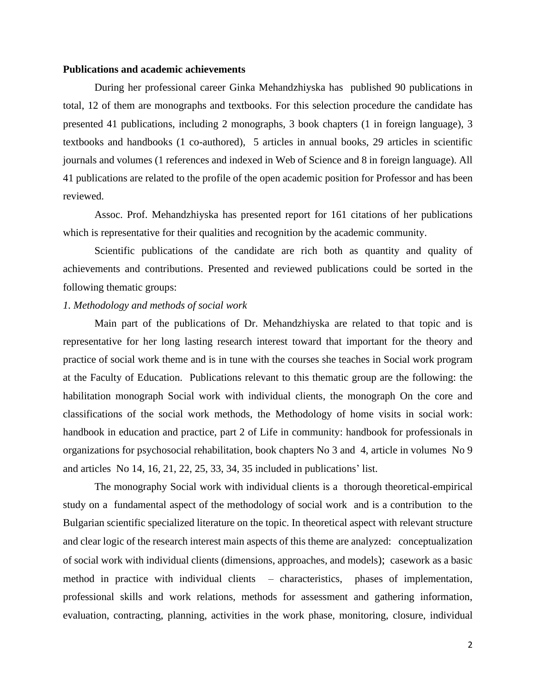### **Publications and academic achievements**

During her professional career Ginka Mehandzhiyska has published 90 publications in total, 12 of them are monographs and textbooks. For this selection procedure the candidate has presented 41 publications, including 2 monographs, 3 book chapters (1 in foreign language), 3 textbooks and handbooks (1 co-authored), 5 articles in annual books, 29 articles in scientific journals and volumes (1 references and indexed in Web of Science and 8 in foreign language). All 41 publications are related to the profile of the open academic position for Professor and has been reviewed.

Assoc. Prof. Mehandzhiyska has presented report for 161 citations of her publications which is representative for their qualities and recognition by the academic community.

Scientific publications of the candidate are rich both as quantity and quality of achievements and contributions. Presented and reviewed publications could be sorted in the following thematic groups:

## *1. Methodology and methods of social work*

Main part of the publications of Dr. Mehandzhiyska are related to that topic and is representative for her long lasting research interest toward that important for the theory and practice of social work theme and is in tune with the courses she teaches in Social work program at the Faculty of Education. Publications relevant to this thematic group are the following: the habilitation monograph Social work with individual clients, the monograph On the core and classifications of the social work methods, the Methodology of home visits in social work: handbook in education and practice, part 2 of Life in community: handbook for professionals in organizations for psychosocial rehabilitation, book chapters No 3 and 4, article in volumes No 9 and articles No 14, 16, 21, 22, 25, 33, 34, 35 included in publications' list.

The monography Social work with individual clients is a thorough theoretical-empirical study on a fundamental aspect of the methodology of social work and is a contribution to the Bulgarian scientific specialized literature on the topic. In theoretical aspect with relevant structure and clear logic of the research interest main aspects of this theme are analyzed: conceptualization of social work with individual clients (dimensions, approaches, and models); casework as a basic method in practice with individual clients – characteristics, phases of implementation, professional skills and work relations, methods for assessment and gathering information, evaluation, contracting, planning, activities in the work phase, monitoring, closure, individual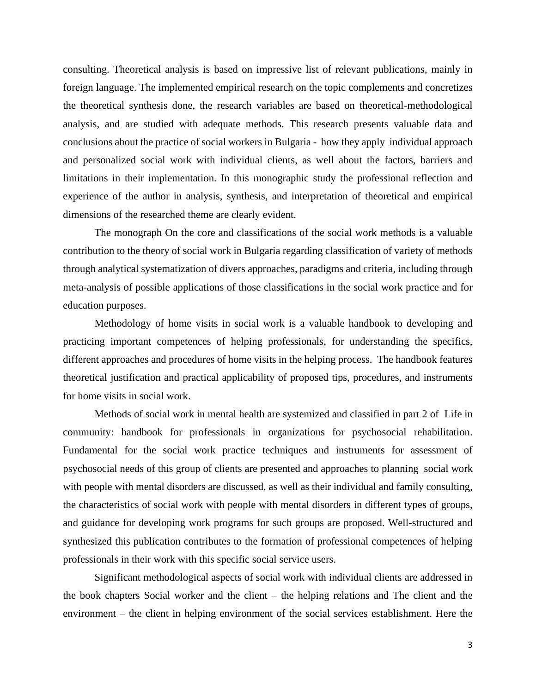consulting. Theoretical analysis is based on impressive list of relevant publications, mainly in foreign language. The implemented empirical research on the topic complements and concretizes the theoretical synthesis done, the research variables are based on theoretical-methodological analysis, and are studied with adequate methods. This research presents valuable data and conclusions about the practice of social workers in Bulgaria - how they apply individual approach and personalized social work with individual clients, as well about the factors, barriers and limitations in their implementation. In this monographic study the professional reflection and experience of the author in analysis, synthesis, and interpretation of theoretical and empirical dimensions of the researched theme are clearly evident.

The monograph On the core and classifications of the social work methods is a valuable contribution to the theory of social work in Bulgaria regarding classification of variety of methods through analytical systematization of divers approaches, paradigms and criteria, including through meta-analysis of possible applications of those classifications in the social work practice and for education purposes.

Methodology of home visits in social work is a valuable handbook to developing and practicing important competences of helping professionals, for understanding the specifics, different approaches and procedures of home visits in the helping process. The handbook features theoretical justification and practical applicability of proposed tips, procedures, and instruments for home visits in social work.

Methods of social work in mental health are systemized and classified in part 2 of Life in community: handbook for professionals in organizations for psychosocial rehabilitation. Fundamental for the social work practice techniques and instruments for assessment of psychosocial needs of this group of clients are presented and approaches to planning social work with people with mental disorders are discussed, as well as their individual and family consulting, the characteristics of social work with people with mental disorders in different types of groups, and guidance for developing work programs for such groups are proposed. Well-structured and synthesized this publication contributes to the formation of professional competences of helping professionals in their work with this specific social service users.

Significant methodological aspects of social work with individual clients are addressed in the book chapters Social worker and the client – the helping relations and The client and the environment – the client in helping environment of the social services establishment. Here the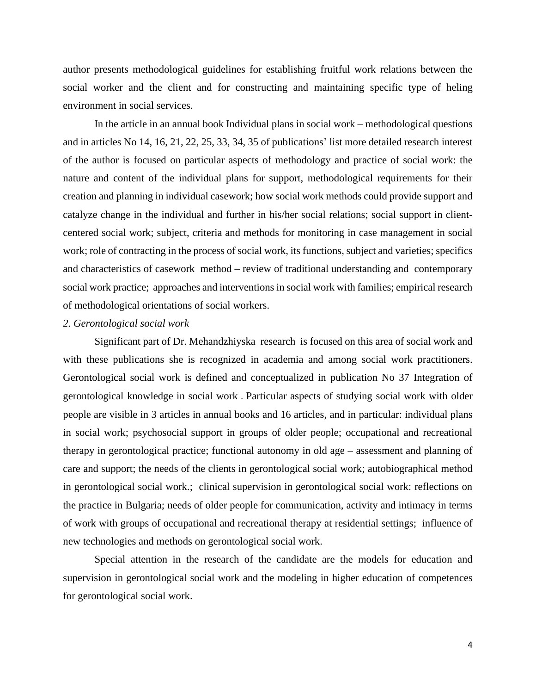author presents methodological guidelines for establishing fruitful work relations between the social worker and the client and for constructing and maintaining specific type of heling environment in social services.

In the article in an annual book Individual plans in social work – methodological questions and in articles No 14, 16, 21, 22, 25, 33, 34, 35 of publications' list more detailed research interest of the author is focused on particular aspects of methodology and practice of social work: the nature and content of the individual plans for support, methodological requirements for their creation and planning in individual casework; how social work methods could provide support and catalyze change in the individual and further in his/her social relations; social support in clientcentered social work; subject, criteria and methods for monitoring in case management in social work; role of contracting in the process of social work, its functions, subject and varieties; specifics and characteristics of casework method – review of traditional understanding and contemporary social work practice; approaches and interventions in social work with families; empirical research of methodological orientations of social workers.

### *2. Gerontological social work*

Significant part of Dr. Mehandzhiyska research is focused on this area of social work and with these publications she is recognized in academia and among social work practitioners. Gerontological social work is defined and conceptualized in publication No 37 Integration of gerontological knowledge in social work . Particular aspects of studying social work with older people are visible in 3 articles in annual books and 16 articles, and in particular: individual plans in social work; psychosocial support in groups of older people; occupational and recreational therapy in gerontological practice; functional autonomy in old age – assessment and planning of care and support; the needs of the clients in gerontological social work; autobiographical method in gerontological social work.; clinical supervision in gerontological social work: reflections on the practice in Bulgaria; needs of older people for communication, activity and intimacy in terms of work with groups of occupational and recreational therapy at residential settings; influence of new technologies and methods on gerontological social work.

Special attention in the research of the candidate are the models for education and supervision in gerontological social work and the modeling in higher education of competences for gerontological social work.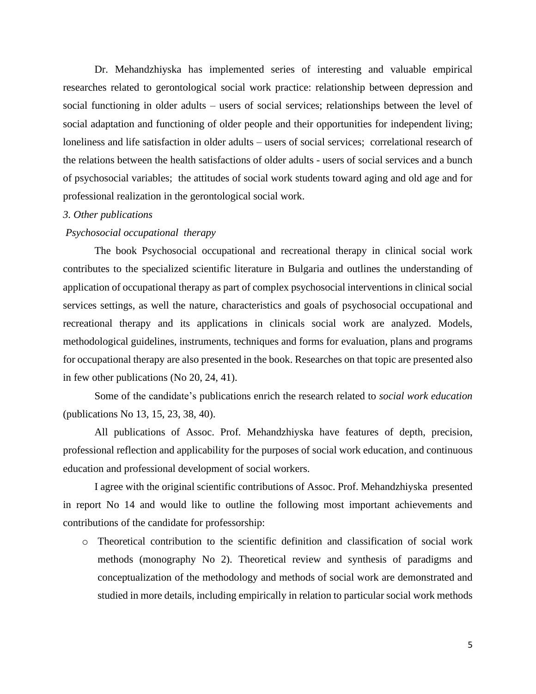Dr. Mehandzhiyska has implemented series of interesting and valuable empirical researches related to gerontological social work practice: relationship between depression and social functioning in older adults – users of social services; relationships between the level of social adaptation and functioning of older people and their opportunities for independent living; loneliness and life satisfaction in older adults – users of social services; correlational research of the relations between the health satisfactions of older adults - users of social services and a bunch of psychosocial variables; the attitudes of social work students toward aging and old age and for professional realization in the gerontological social work.

## *3. Other publications*

## *Psychosocial occupational therapy*

The book Psychosocial occupational and recreational therapy in clinical social work contributes to the specialized scientific literature in Bulgaria and outlines the understanding of application of occupational therapy as part of complex psychosocial interventions in clinical social services settings, as well the nature, characteristics and goals of psychosocial occupational and recreational therapy and its applications in clinicals social work are analyzed. Models, methodological guidelines, instruments, techniques and forms for evaluation, plans and programs for occupational therapy are also presented in the book. Researches on that topic are presented also in few other publications (No 20, 24, 41).

Some of the candidate's publications enrich the research related to *social work education* (publications No 13, 15, 23, 38, 40).

All publications of Assoc. Prof. Mehandzhiyska have features of depth, precision, professional reflection and applicability for the purposes of social work education, and continuous education and professional development of social workers.

I agree with the original scientific contributions of Assoc. Prof. Mehandzhiyska presented in report No 14 and would like to outline the following most important achievements and contributions of the candidate for professorship:

o Theoretical contribution to the scientific definition and classification of social work methods (monography No 2). Theoretical review and synthesis of paradigms and conceptualization of the methodology and methods of social work are demonstrated and studied in more details, including empirically in relation to particular social work methods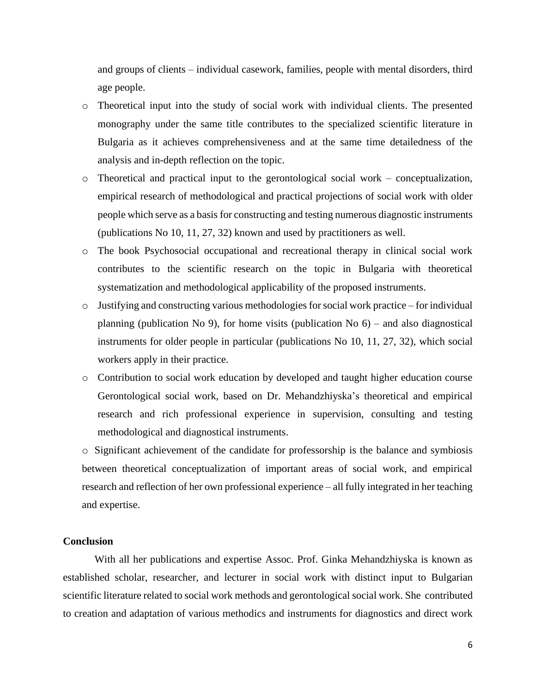and groups of clients – individual casework, families, people with mental disorders, third age people.

- o Theoretical input into the study of social work with individual clients. The presented monography under the same title contributes to the specialized scientific literature in Bulgaria as it achieves comprehensiveness and at the same time detailedness of the analysis and in-depth reflection on the topic.
- o Theoretical and practical input to the gerontological social work conceptualization, empirical research of methodological and practical projections of social work with older people which serve as a basis for constructing and testing numerous diagnostic instruments (publications No 10, 11, 27, 32) known and used by practitioners as well.
- o The book Psychosocial occupational and recreational therapy in clinical social work contributes to the scientific research on the topic in Bulgaria with theoretical systematization and methodological applicability of the proposed instruments.
- $\circ$  Justifying and constructing various methodologies for social work practice for individual planning (publication No 9), for home visits (publication No  $6$ ) – and also diagnostical instruments for older people in particular (publications No 10, 11, 27, 32), which social workers apply in their practice.
- o Contribution to social work education by developed and taught higher education course Gerontological social work, based on Dr. Mehandzhiyska's theoretical and empirical research and rich professional experience in supervision, consulting and testing methodological and diagnostical instruments.

o Significant achievement of the candidate for professorship is the balance and symbiosis between theoretical conceptualization of important areas of social work, and empirical research and reflection of her own professional experience – all fully integrated in her teaching and expertise.

## **Conclusion**

With all her publications and expertise Assoc. Prof. Ginka Mehandzhiyska is known as established scholar, researcher, and lecturer in social work with distinct input to Bulgarian scientific literature related to social work methods and gerontological social work. She contributed to creation and adaptation of various methodics and instruments for diagnostics and direct work